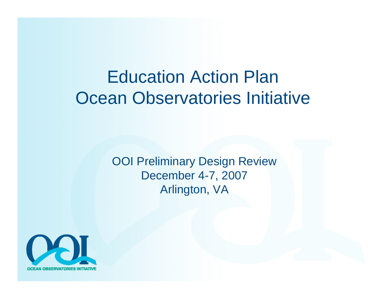### Education Action PlanOcean Observatories Initiative

OOI Preliminary Design Review December 4-7, 2007 Arlington, VA

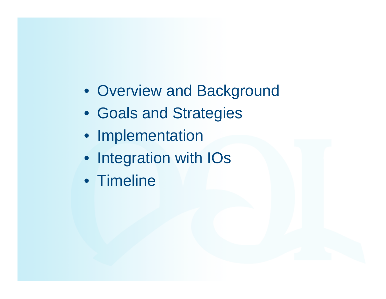- Overview and Background
- Goals and Strategies
- Implementation
- Integration with IOs
- Timeline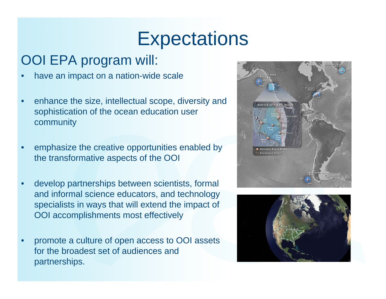## **Expectations**

#### OOI EPA program will:

- •have an impact on a nation-wide scale
- • enhance the size, intellectual scope, diversity and sophistication of the ocean education user community
- • emphasize the creative opportunities enabled by the transformative aspects of the OOI
- • develop partnerships between scientists, formal and informal science educators, and technology specialists in ways that will extend the impact of OOI accomplishments most effectively
- • promote a culture of open access to OOI assets for the broadest set of audiences and partnerships.



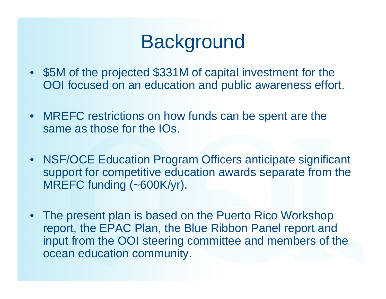# **Background**

- • \$5M of the projected \$331M of capital investment for the OOI focused on an education and public awareness effort.
- $\bullet$  MREFC restrictions on how funds can be spent are the same as those for the IOs.
- $\bullet$  NSF/OCE Education Program Officers anticipate significant support for competitive education awards separate from the MREFC funding (~600K/yr).
- • The present plan is based on the Puerto Rico Workshop report, the EPAC Plan, the Blue Ribbon Panel report and input from the OOI steering committee and members of the ocean education community.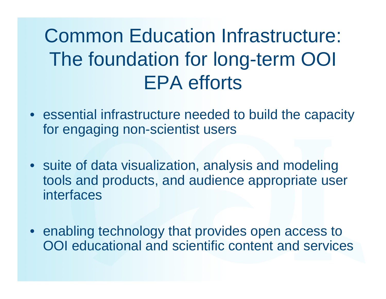# Common Education Infrastructure: The foundation for long-term OOI EPA efforts

- $\bullet$  essential infrastructure needed to build the capacity for engaging non-scientist users
- suite of data visualization, analysis and modeling tools and products, and audience appropriate user interfaces
- enabling technology that provides open access to OOI educational and scientific content and services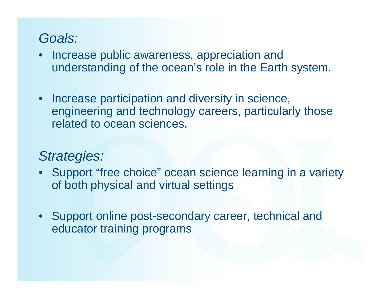#### *Goals:*

- Increase public awareness, appreciation and understanding of the ocean's role in the Earth system.
- Increase participation and diversity in science, engineering and technology careers, particularly those related to ocean sciences.

#### *Strategies:*

- • Support "free choice" ocean science learning in a variety of both physical and virtual settings
- • Support online post-secondary career, technical and educator training programs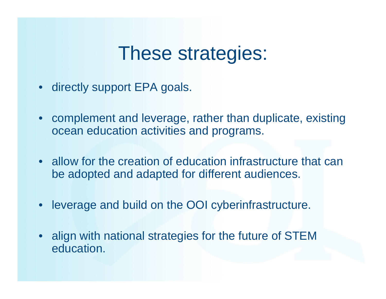### These strategies:

- $\bullet$ directly support EPA goals.
- • complement and leverage, rather than duplicate, existing ocean education activities and programs.
- allow for the creation of education infrastructure that can be adopted and adapted for different audiences.
- leverage and build on the OOI cyberinfrastructure.
- • align with national strategies for the future of STEM education.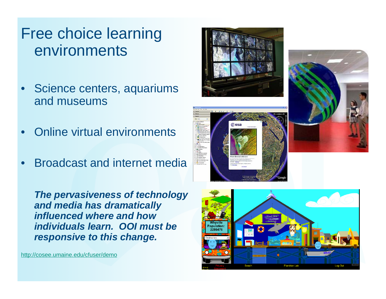#### Free choice learning environments

- • Science centers, aquariums and museums
- •Online virtual environments
- •Broadcast and internet media

*The pervasiveness of technology and media has dramatically influenced where and how individuals learn. OOI must be responsive to this change.*

http://cosee.umaine.edu/cfuser/demo







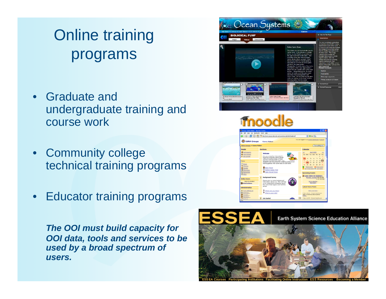### Online training programs

- • Graduate and undergraduate training and course work
- • Community college technical training programs
- •Educator training programs

 $\bullet$ see Ocean Systems **BIOLOGICAL PH** 



*The OOI must build capacity for OOI data, tools and services to be used by a broad spectrum of users.*

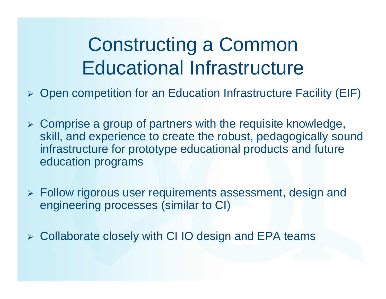# Constructing a Common Educational Infrastructure

- ¾Open competition for an Education Infrastructure Facility (EIF)
- ¾ Comprise a group of partners with the requisite knowledge, skill, and experience to create the robust, pedagogically sound infrastructure for prototype educational products and future education programs
- ¾ Follow rigorous user requirements assessment, design and engineering processes (similar to CI)
- ¾ Collaborate closely with CI IO design and EPA teams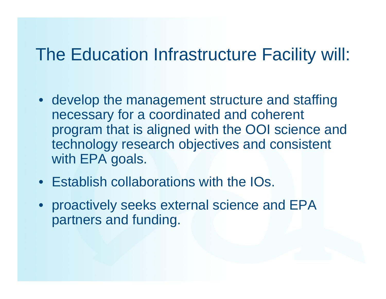### The Education Infrastructure Facility will:

- develop the management structure and staffing necessary for a coordinated and coherent program that is aligned with the OOI science and technology research objectives and consistent with EPA goals.
- Establish collaborations with the IOs.
- proactively seeks external science and EPA partners and funding.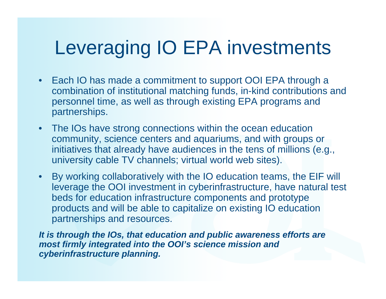# Leveraging IO EPA investments

- $\bullet$  Each IO has made a commitment to support OOI EPA through a combination of institutional matching funds, in-kind contributions and personnel time, as well as through existing EPA programs and partnerships.
- • The IOs have strong connections within the ocean education community, science centers and aquariums, and with groups or initiatives that already have audiences in the tens of millions (e.g., university cable TV channels; virtual world web sites).
- By working collaboratively with the IO education teams, the EIF will leverage the OOI investment in cyberinfrastructure, have natural test beds for education infrastructure components and prototype products and will be able to capitalize on existing IO education partnerships and resources.

*It is through the IOs, that education and public awareness efforts are most firmly integrated into the OOI's science mission and cyberinfrastructure planning.*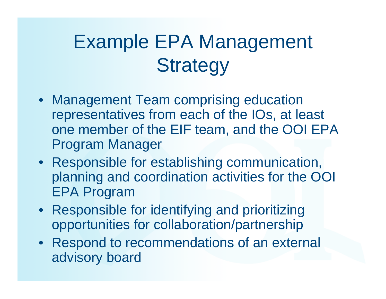# Example EPA Management **Strategy**

- Management Team comprising education representatives from each of the IOs, at least one member of the EIF team, and the OOI EPA Program Manager
- Responsible for establishing communication, planning and coordination activities for the OOI EPA Program
- Responsible for identifying and prioritizing opportunities for collaboration/partnership
- Respond to recommendations of an external advisory board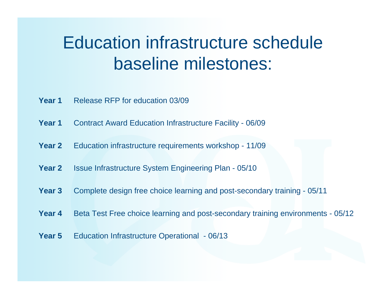### Education infrastructure schedule baseline milestones:

- **Year 1**Release RFP for education 03/09
- **Year 1**Contract Award Education Infrastructure Facility - 06/09
- **Year 2**Education infrastructure requirements workshop - 11/09
- **Year 2**Issue Infrastructure System Engineering Plan - 05/10
- **Year 3**Complete design free choice learning and post-secondary training - 05/11
- **Year 4**Beta Test Free choice learning and post-secondary training environments - 05/12
- **Year 5**Education Infrastructure Operational - 06/13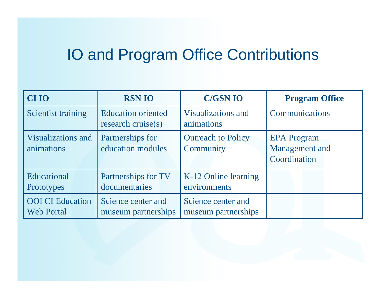### IO and Program Office Contributions

| <b>CIIO</b>                                  | <b>RSN IO</b>                                      | <b>C/GSN IO</b>                           | <b>Program Office</b>                                |
|----------------------------------------------|----------------------------------------------------|-------------------------------------------|------------------------------------------------------|
| Scientist training                           | <b>Education oriented</b><br>research cruise $(s)$ | <b>Visualizations and</b><br>animations   | Communications                                       |
| <b>Visualizations and</b><br>animations      | Partnerships for<br>education modules              | <b>Outreach to Policy</b><br>Community    | <b>EPA</b> Program<br>Management and<br>Coordination |
| Educational<br>Prototypes                    | Partnerships for TV<br>documentaries               | K-12 Online learning<br>environments      |                                                      |
| <b>OOI</b> CI Education<br><b>Web Portal</b> | Science center and<br>museum partnerships          | Science center and<br>museum partnerships |                                                      |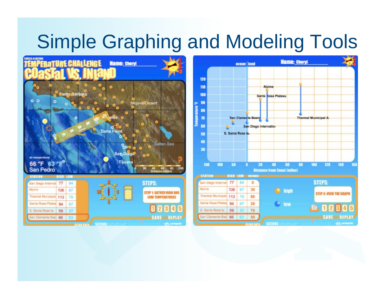# Simple Graphing and Modeling Tools



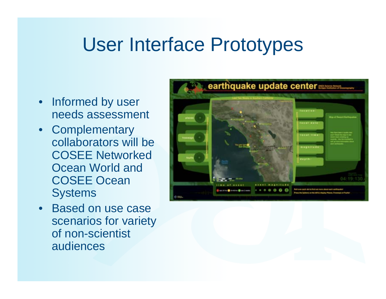## User Interface Prototypes

- Informed by user needs assessment
- Complementary collaborators will be COSEE Networked Ocean World and COSEE Ocean **Systems**
- Based on use case scenarios for variety of non-scientist audiences